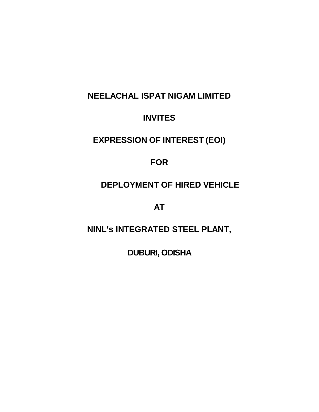# **NEELACHAL ISPAT NIGAM LIMITED**

# **INVITES**

# **EXPRESSION OF INTEREST (EOI)**

# **FOR**

# **DEPLOYMENT OF HIRED VEHICLE**

**AT**

**NINL's INTEGRATED STEEL PLANT,**

**DUBURI, ODISHA**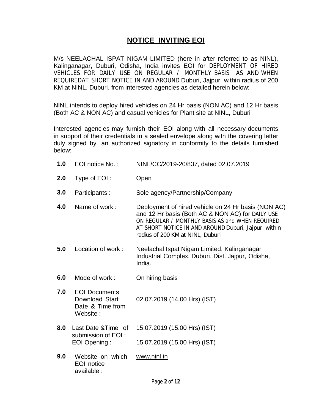## **NOTICE INVITING EOI**

M/s NEELACHAL ISPAT NIGAM LIMITED (here in after referred to as NINL), Kalinganagar, Duburi, Odisha, India invites EOI for DEPLOYMENT OF HIRED VEHICLES FOR DAILY USE ON REGULAR / MONTHLY BASIS AS AND WHEN REQUIREDAT SHORT NOTICE IN AND AROUND Duburi, Jajpur within radius of 200 KM at NINL, Duburi, from interested agencies as detailed herein below:

NINL intends to deploy hired vehicles on 24 Hr basis (NON AC) and 12 Hr basis (Both AC & NON AC) and casual vehicles for Plant site at NINL, Duburi

Interested agencies may furnish their EOI along with all necessary documents in support of their credentials in a sealed envelope along with the covering letter duly signed by an authorized signatory in conformity to the details furnished below:

| 1.0 | EOI notice No.:                                                        | NINL/CC/2019-20/837, dated 02.07.2019                                                                                                                                                                                                                 |
|-----|------------------------------------------------------------------------|-------------------------------------------------------------------------------------------------------------------------------------------------------------------------------------------------------------------------------------------------------|
| 2.0 | Type of EOI:                                                           | Open                                                                                                                                                                                                                                                  |
| 3.0 | Participants:                                                          | Sole agency/Partnership/Company                                                                                                                                                                                                                       |
| 4.0 | Name of work:                                                          | Deployment of hired vehicle on 24 Hr basis (NON AC)<br>and 12 Hr basis (Both AC & NON AC) for DAILY USE<br>ON REGULAR / MONTHLY BASIS AS and WHEN REQUIRED<br>AT SHORT NOTICE IN AND AROUND Duburi, Jajpur within<br>radius of 200 KM at NINL, Duburi |
| 5.0 | Location of work:                                                      | Neelachal Ispat Nigam Limited, Kalinganagar<br>Industrial Complex, Duburi, Dist. Jajpur, Odisha,<br>India.                                                                                                                                            |
| 6.0 | Mode of work:                                                          | On hiring basis                                                                                                                                                                                                                                       |
| 7.0 | <b>EOI Documents</b><br>Download Start<br>Date & Time from<br>Website: | 02.07.2019 (14.00 Hrs) (IST)                                                                                                                                                                                                                          |
| 8.0 | Last Date & Time of<br>submission of EOI :                             | 15.07.2019 (15.00 Hrs) (IST)                                                                                                                                                                                                                          |
|     | EOI Opening:                                                           | 15.07.2019 (15.00 Hrs) (IST)                                                                                                                                                                                                                          |
| 9.0 | Website on which<br><b>EOI</b> notice<br>available:                    | www.ninl.in                                                                                                                                                                                                                                           |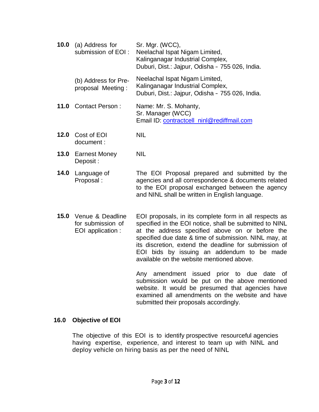- **10.0** (a) Address for submission of EOI : (b) Address for Preproposal Meeting : Sr. Mgr. (WCC), Neelachal Ispat Nigam Limited, Kalinganagar Industrial Complex, Duburi, Dist.: Jajpur, Odisha – 755 026, India. Neelachal Ispat Nigam Limited, Kalinganagar Industrial Complex, Duburi, Dist.: Jajpur, Odisha – 755 026, India. **11.0** Contact Person : Name: Mr. S. Mohanty, Sr. Manager (WCC) Email ID: contractcell\_ninl@rediffmail.com **12.0** Cost of EOI document : NIL **13.0** Earnest Money NIL
- **14.0** Language of Proposal : The EOI Proposal prepared and submitted by the agencies and all correspondence & documents related to the EOI proposal exchanged between the agency and NINL shall be written in English language.
- **15.0** Venue & Deadline for submission of EOI application : EOI proposals, in its complete form in all respects as specified in the EOI notice, shall be submitted to NINL at the address specified above on or before the specified due date & time of submission. NINL may, at its discretion, extend the deadline for submission of EOI bids by issuing an addendum to be made available on the website mentioned above.

Any amendment issued prior to due date of submission would be put on the above mentioned website. It would be presumed that agencies have examined all amendments on the website and have submitted their proposals accordingly.

#### **16.0 Objective of EOI**

Deposit :

The objective of this EOI is to identify prospective resourceful agencies having expertise, experience, and interest to team up with NINL and deploy vehicle on hiring basis as per the need of NINL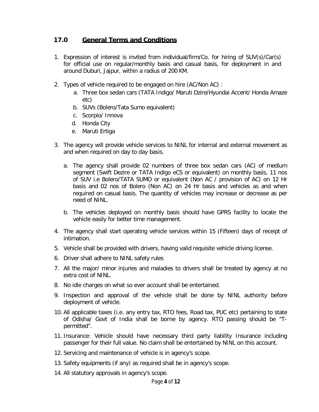### **17.0 General Terms and Conditions**

- 1. Expression of interest is invited from individual/firm/Co. for hiring of SUV(s)/Car(s) for official use on regular/monthly basis and casual basis, for deployment in and around Duburi, Jajpur, within a radius of 200 KM.
- 2. Types of vehicle required to be engaged on hire (AC/Non AC) :
	- a. Three box sedan cars (TATA Indigo/ Maruti Dzire/Hyundai Accent/ Honda Amaze etc)
	- b. SUVs (Bolero/Tata Sumo equivalent)
	- c. Scorpio/ Innova
	- d. Honda City
	- e. Maruti Ertiga
- 3. The agency will provide vehicle services to NINL for internal and external movement as and when required on day to day basis.
	- a. The agency shall provide 02 numbers of three box sedan cars (AC) of medium segment (Swift Dezire or TATA Indigo eCS or equivalent) on monthly basis, 11 nos of SUV i.e Bolero/TATA SUMO or equivalent (Non AC / provision of AC) on 12 Hr basis and 02 nos of Bolero (Non AC) on 24 Hr basis and vehicles as and when required on casual basis. The quantity of vehicles may increase or decrease as per need of NINL.
	- b. The vehicles deployed on monthly basis should have GPRS facility to locate the vehicle easily for better time management.
- 4. The agency shall start operating vehicle services within 15 (Fifteen) days of receipt of intimation.
- 5. Vehicle shall be provided with drivers, having valid requisite vehicle driving license.
- 6. Driver shall adhere to NINL safety rules
- 7. All the major/ minor injuries and maladies to drivers shall be treated by agency at no extra cost of NINL.
- 8. No idle charges on what so ever account shall be entertained.
- 9. Inspection and approval of the vehicle shall be done by NINL authority before deployment of vehicle.
- 10. All applicable taxes (i.e. any entry tax, RTO fees, Road tax, PUC etc) pertaining to state of Odisha/ Govt of India shall be borne by agency. RTO passing should be "Tpermitted".
- 11. Insurance: Vehicle should have necessary third party liability Insurance including passenger for their full value. No claim shall be entertained by NINL on this account.
- 12. Servicing and maintenance of vehicle is in agency's scope.
- 13. Safety equipments (if any) as required shall be in agency's scope.
- 14. All statutory approvals in agency's scope.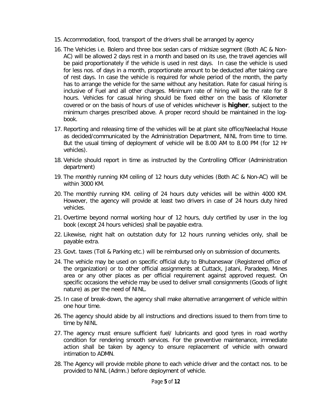- 15. Accommodation, food, transport of the drivers shall be arranged by agency
- 16. The Vehicles i.e. Bolero and three box sedan cars of midsize segment (Both AC & Non-AC) will be allowed 2 days rest in a month and based on its use, the travel agencies will be paid proportionately if the vehicle is used in rest days. In case the vehicle is used for less nos. of days in a month, proportionate amount to be deducted after taking care of rest days. In case the vehicle is required for whole period of the month, the party has to arrange the vehicle for the same without any hesitation. Rate for casual hiring is inclusive of Fuel and all other charges. Minimum rate of hiring will be the rate for 8 hours. Vehicles for casual hiring should be fixed either on the basis of Kilometer covered or on the basis of hours of use of vehicles whichever is **higher**, subject to the minimum charges prescribed above. A proper record should be maintained in the logbook.
- 17. Reporting and releasing time of the vehicles will be at plant site office/Neelachal House as decided/communicated by the Administration Department, NINL from time to time. But the usual timing of deployment of vehicle will be 8.00 AM to 8.00 PM (for 12 Hr vehicles).
- 18. Vehicle should report in time as instructed by the Controlling Officer (Administration department)
- 19. The monthly running KM ceiling of 12 hours duty vehicles (Both AC & Non-AC) will be within 3000 KM.
- 20. The monthly running KM. ceiling of 24 hours duty vehicles will be within 4000 KM. However, the agency will provide at least two drivers in case of 24 hours duty hired vehicles.
- 21. Overtime beyond normal working hour of 12 hours, duly certified by user in the log book (except 24 hours vehicles) shall be payable extra.
- 22. Likewise, night halt on outstation duty for 12 hours running vehicles only, shall be payable extra.
- 23. Govt. taxes (Toll & Parking etc.) will be reimbursed only on submission of documents.
- 24. The vehicle may be used on specific official duty to Bhubaneswar (Registered office of the organization) or to other official assignments at Cuttack, Jatani, Paradeep, Mines area or any other places as per official requirement against approved request. On specific occasions the vehicle may be used to deliver small consignments (Goods of light nature) as per the need of NINL.
- 25. In case of break-down, the agency shall make alternative arrangement of vehicle within one hour time.
- 26. The agency should abide by all instructions and directions issued to them from time to time by NINL
- 27. The agency must ensure sufficient fuel/ lubricants and good tyres in road worthy condition for rendering smooth services. For the preventive maintenance, immediate action shall be taken by agency to ensure replacement of vehicle with onward intimation to ADMN.
- 28. The Agency will provide mobile phone to each vehicle driver and the contact nos. to be provided to NINL (Admn.) before deployment of vehicle.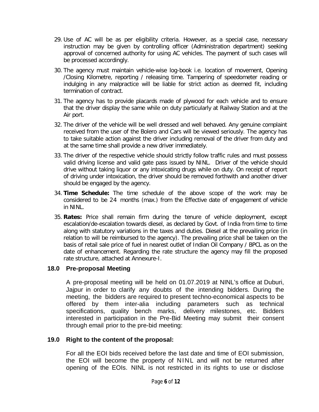- 29. Use of AC will be as per eligibility criteria. However, as a special case, necessary instruction may be given by controlling officer (Administration department) seeking approval of concerned authority for using AC vehicles. The payment of such cases will be processed accordingly.
- 30. The agency must maintain vehicle-wise log-book i.e. location of movement, Opening /Closing Kilometre, reporting / releasing time. Tampering of speedometer reading or indulging in any malpractice will be liable for strict action as deemed fit, including termination of contract.
- 31. The agency has to provide placards made of plywood for each vehicle and to ensure that the driver display the same while on duty particularly at Railway Station and at the Air port.
- 32. The driver of the vehicle will be well dressed and well behaved. Any genuine complaint received from the user of the Bolero and Cars will be viewed seriously. The agency has to take suitable action against the driver including removal of the driver from duty and at the same time shall provide a new driver immediately.
- 33. The driver of the respective vehicle should strictly follow traffic rules and must possess valid driving license and valid gate pass issued by NINL. Driver of the vehicle should drive without taking liquor or any intoxicating drugs while on duty. On receipt of report of driving under intoxication, the driver should be removed forthwith and another driver should be engaged by the agency.
- 34. **Time Schedule:** The time schedule of the above scope of the work may be considered to be 24 months (max.) from the Effective date of engagement of vehicle in NINL.
- 35. **Rates:** Price shall remain firm during the tenure of vehicle deployment, except escalation/de-escalation towards diesel, as declared by Govt. of India from time to time along with statutory variations in the taxes and duties. Diesel at the prevailing price (in relation to will be reimbursed to the agency). The prevailing price shall be taken on the basis of retail sale price of fuel in nearest outlet of Indian Oil Company / BPCL as on the date of enhancement. Regarding the rate structure the agency may fill the proposed rate structure, attached at Annexure-I.

#### **18.0 Pre-proposal Meeting**

A pre-proposal meeting will be held on 01.07.2019 at NINL's office at Duburi, Jajpur in order to clarify any doubts of the intending bidders. During the meeting, the bidders are required to present techno-economical aspects to be offered by them inter-alia including parameters such as technical specifications, quality bench marks, delivery milestones, etc. Bidders interested in participation in the Pre-Bid Meeting may submit their consent through email prior to the pre-bid meeting:

#### **19.0 Right to the content of the proposal:**

For all the EOI bids received before the last date and time of EOI submission, the EOI will become the property of NINL and will not be returned after opening of the EOIs. NINL is not restricted in its rights to use or disclose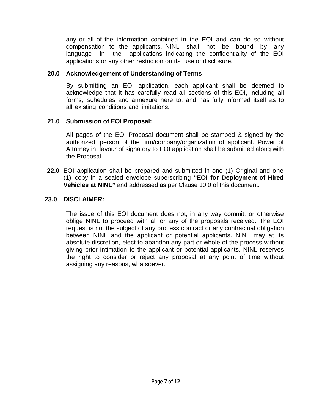any or all of the information contained in the EOI and can do so without compensation to the applicants. NINL shall not be bound by any language in the applications indicating the confidentiality of the EOI applications or any other restriction on its use or disclosure.

### **20.0 Acknowledgement of Understanding of Terms**

By submitting an EOI application, each applicant shall be deemed to acknowledge that it has carefully read all sections of this EOI, including all forms, schedules and annexure here to, and has fully informed itself as to all existing conditions and limitations.

#### **21.0 Submission of EOI Proposal:**

All pages of the EOI Proposal document shall be stamped & signed by the authorized person of the firm/company/organization of applicant. Power of Attorney in favour of signatory to EOI application shall be submitted along with the Proposal.

**22.0** EOI application shall be prepared and submitted in one (1) Original and one (1) copy in a sealed envelope superscribing **"EOI for Deployment of Hired Vehicles at NINL"** and addressed as per Clause 10.0 of this document.

#### **23.0 DISCLAIMER:**

The issue of this EOI document does not, in any way commit, or otherwise oblige NINL to proceed with all or any of the proposals received. The EOI request is not the subject of any process contract or any contractual obligation between NINL and the applicant or potential applicants. NINL may at its absolute discretion, elect to abandon any part or whole of the process without giving prior intimation to the applicant or potential applicants. NINL reserves the right to consider or reject any proposal at any point of time without assigning any reasons, whatsoever.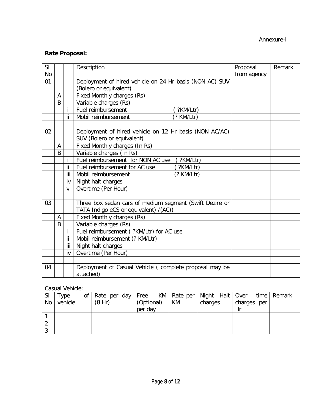### **Rate Proposal:**

| SI<br><b>No</b> |   |        | Description                                                         | Proposal<br>from agency | Remark |
|-----------------|---|--------|---------------------------------------------------------------------|-------------------------|--------|
| 01              |   |        | Deployment of hired vehicle on 24 Hr basis (NON AC) SUV             |                         |        |
|                 |   |        | (Bolero or equivalent)                                              |                         |        |
|                 | A |        | Fixed Monthly charges (Rs)                                          |                         |        |
|                 | B |        | Variable charges (Rs)                                               |                         |        |
|                 |   |        | Fuel reimbursement<br>?KM/Ltr)                                      |                         |        |
|                 |   | ii     | Mobil reimbursement<br>(? KM/Ltr)                                   |                         |        |
|                 |   |        |                                                                     |                         |        |
| 02              |   |        | Deployment of hired vehicle on 12 Hr basis (NON AC/AC)              |                         |        |
|                 |   |        | SUV (Bolero or equivalent)                                          |                         |        |
|                 | A |        | Fixed Monthly charges (In Rs)                                       |                         |        |
|                 | B |        | Variable charges (In Rs)                                            |                         |        |
|                 |   |        | Fuel reimbursement for NON AC use<br>$($ ?KM/Ltr)                   |                         |        |
|                 |   | ii     | Fuel reimbursement for AC use<br>?KM/Ltr)                           |                         |        |
|                 |   | iii    | Mobil reimbursement<br>(? KM/Ltr)                                   |                         |        |
|                 |   | iv     | Night halt charges                                                  |                         |        |
|                 |   | $\vee$ | Overtime (Per Hour)                                                 |                         |        |
|                 |   |        |                                                                     |                         |        |
| 03              |   |        | Three box sedan cars of medium segment (Swift Dezire or             |                         |        |
|                 |   |        | TATA Indigo eCS or equivalent) /(AC))                               |                         |        |
|                 | A |        | Fixed Monthly charges (Rs)                                          |                         |        |
|                 | B |        | Variable charges (Rs)                                               |                         |        |
|                 |   |        | Fuel reimbursement ( ?KM/Ltr) for AC use                            |                         |        |
|                 |   | ii     | Mobil reimbursement (? KM/Ltr)                                      |                         |        |
|                 |   | iii    | Night halt charges                                                  |                         |        |
|                 |   | iv     | Overtime (Per Hour)                                                 |                         |        |
|                 |   |        |                                                                     |                         |        |
| 04              |   |        | Deployment of Casual Vehicle (complete proposal may be<br>attached) |                         |        |

#### Casual Vehicle:

| -SI | Type    | of Rate per day Free KM Rate per Night Halt   Over time Remark |            |           |         |             |  |
|-----|---------|----------------------------------------------------------------|------------|-----------|---------|-------------|--|
| No  | vehicle | (8 Hr)                                                         | (Optional) | <b>KM</b> | charges | charges per |  |
|     |         |                                                                | per day    |           |         | Hr          |  |
|     |         |                                                                |            |           |         |             |  |
|     |         |                                                                |            |           |         |             |  |
|     |         |                                                                |            |           |         |             |  |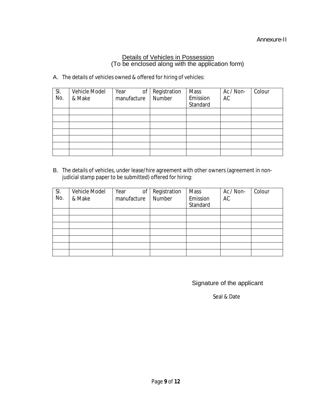#### Details of Vehicles in Possession (To be enclosed along with the application form)

A. The details of vehicles owned & offered for hiring of vehicles:

| SI.<br>No. | Vehicle Model<br>& Make | Year<br>of<br>manufacture | Registration<br>Number | <b>Mass</b><br>Emission<br>Standard | Ac / Non-<br>AC | Colour |
|------------|-------------------------|---------------------------|------------------------|-------------------------------------|-----------------|--------|
|            |                         |                           |                        |                                     |                 |        |
|            |                         |                           |                        |                                     |                 |        |
|            |                         |                           |                        |                                     |                 |        |
|            |                         |                           |                        |                                     |                 |        |
|            |                         |                           |                        |                                     |                 |        |
|            |                         |                           |                        |                                     |                 |        |
|            |                         |                           |                        |                                     |                 |        |

B. The details of vehicles, under lease/hire agreement with other owners (agreement in nonjudicial stamp paper to be submitted) offered for hiring:

| SI. | Vehicle Model | 0f<br>Year  | Registration | <b>Mass</b>          | Ac / Non- | Colour |
|-----|---------------|-------------|--------------|----------------------|-----------|--------|
| No. | & Make        | manufacture | Number       | Emission<br>Standard | AC        |        |
|     |               |             |              |                      |           |        |
|     |               |             |              |                      |           |        |
|     |               |             |              |                      |           |        |
|     |               |             |              |                      |           |        |
|     |               |             |              |                      |           |        |
|     |               |             |              |                      |           |        |
|     |               |             |              |                      |           |        |

Signature of the applicant

Seal & Date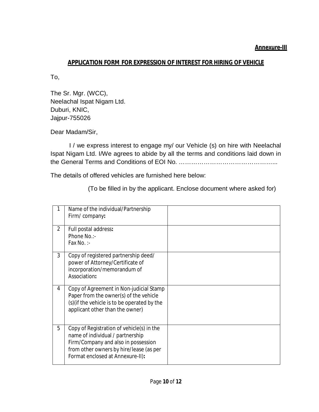### **APPLICATION FORM FOR EXPRESSION OF INTEREST FOR HIRING OF VEHICLE**

To,

The Sr. Mgr. (WCC), Neelachal Ispat Nigam Ltd. Duburi, KNIC, Jajpur-755026

Dear Madam/Sir,

I / we express interest to engage my/ our Vehicle (s) on hire with Neelachal Ispat Nigam Ltd. I/We agrees to abide by all the terms and conditions laid down in the General Terms and Conditions of EOI No. ………………………………………...

The details of offered vehicles are furnished here below:

(To be filled in by the applicant. Enclose document where asked for)

|                | Name of the individual/Partnership<br>Firm/company:                                                                                                                                                 |  |
|----------------|-----------------------------------------------------------------------------------------------------------------------------------------------------------------------------------------------------|--|
| $\overline{2}$ | Full postal address:<br>Phone No.:-<br>Fax $No.$ :-                                                                                                                                                 |  |
| 3              | Copy of registered partnership deed/<br>power of Attorney/Certificate of<br>incorporation/memorandum of<br>Association:                                                                             |  |
| 4              | Copy of Agreement in Non-judicial Stamp<br>Paper from the owner(s) of the vehicle<br>(s) (if the vehicle is to be operated by the<br>applicant other than the owner)                                |  |
| 5              | Copy of Registration of vehicle(s) in the<br>name of individual / partnership<br>Firm/Company and also in possession<br>from other owners by hire/lease (as per<br>Format enclosed at Annexure-II): |  |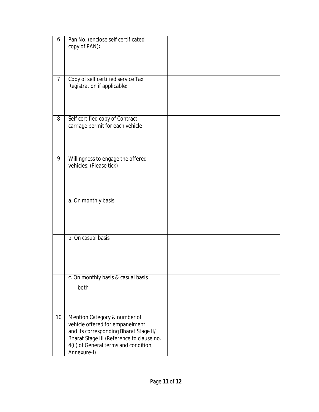| 6              | Pan No. (enclose self certificated<br>copy of PAN):                                                                                                                                                            |  |
|----------------|----------------------------------------------------------------------------------------------------------------------------------------------------------------------------------------------------------------|--|
| $\overline{7}$ | Copy of self certified service Tax<br>Registration if applicable:                                                                                                                                              |  |
| 8              | Self certified copy of Contract<br>carriage permit for each vehicle                                                                                                                                            |  |
| 9              | Willingness to engage the offered<br>vehicles: (Please tick)                                                                                                                                                   |  |
|                | a. On monthly basis                                                                                                                                                                                            |  |
|                | b. On casual basis                                                                                                                                                                                             |  |
|                | c. On monthly basis & casual basis<br>both                                                                                                                                                                     |  |
| 10             | Mention Category & number of<br>vehicle offered for empanelment<br>and its corresponding Bharat Stage II/<br>Bharat Stage III (Reference to clause no.<br>4(ii) of General terms and condition,<br>Annexure-I) |  |